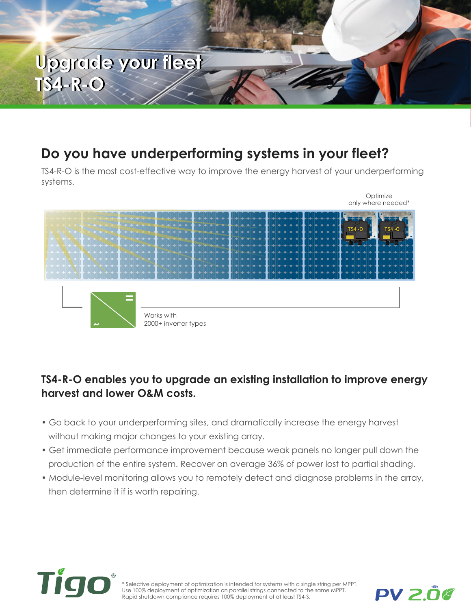

### **Do you have underperforming systems in your fleet?**

TS4-R-O is the most cost-effective way to improve the energy harvest of your underperforming systems.



### **TS4-R-O enables you to upgrade an existing installation to improve energy harvest and lower O&M costs.**

- Go back to your underperforming sites, and dramatically increase the energy harvest without making major changes to your existing array.
- Get immediate performance improvement because weak panels no longer pull down the production of the entire system. Recover on average 36% of power lost to partial shading.
- Module-level monitoring allows you to remotely detect and diagnose problems in the array, then determine it if is worth repairing.